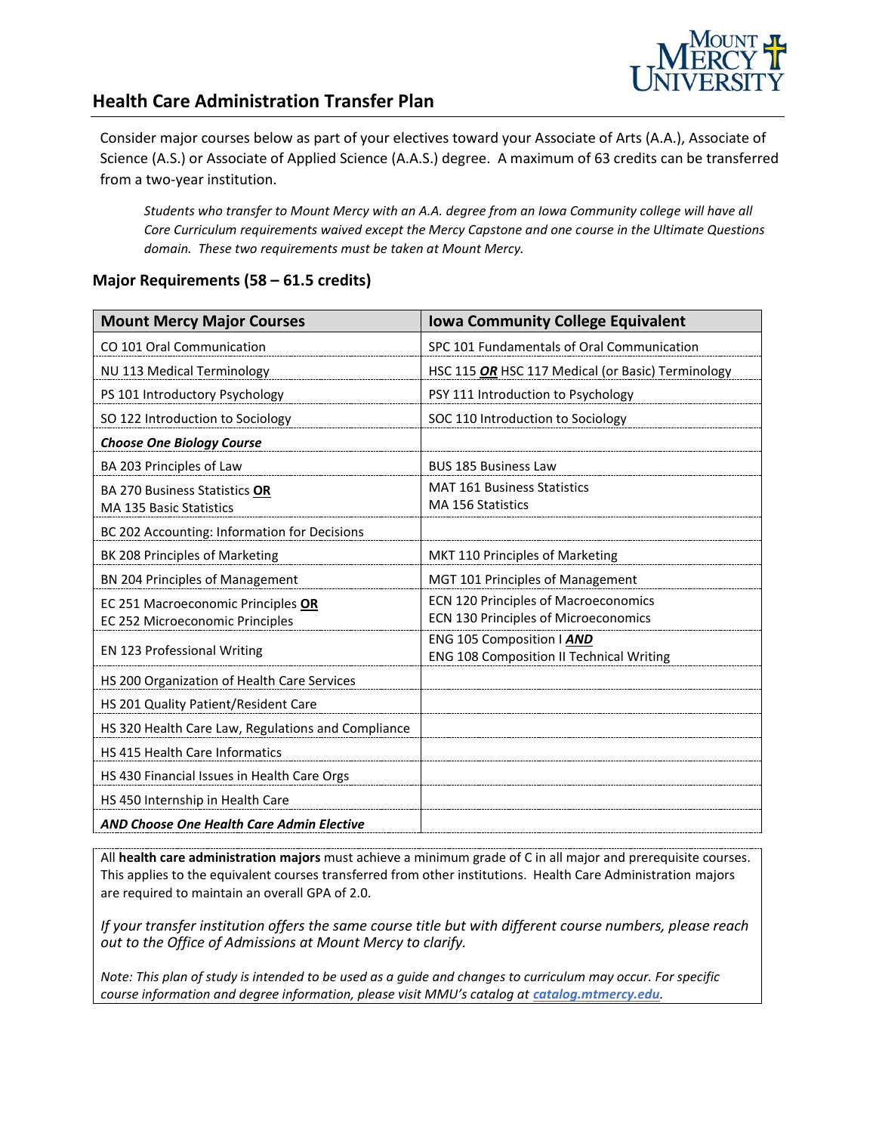

#### **Health Care Administration Transfer Plan**

Consider major courses below as part of your electives toward your Associate of Arts (A.A.), Associate of Science (A.S.) or Associate of Applied Science (A.A.S.) degree. A maximum of 63 credits can be transferred from a two-year institution.

*Students who transfer to Mount Mercy with an A.A. degree from an Iowa Community college will have all Core Curriculum requirements waived except the Mercy Capstone and one course in the Ultimate Questions domain. These two requirements must be taken at Mount Mercy.* 

#### **Major Requirements (58 – 61.5 credits)**

| <b>Mount Mercy Major Courses</b>                   | <b>Iowa Community College Equivalent</b>                                     |
|----------------------------------------------------|------------------------------------------------------------------------------|
| CO 101 Oral Communication                          | SPC 101 Fundamentals of Oral Communication                                   |
| NU 113 Medical Terminology                         | HSC 115 OR HSC 117 Medical (or Basic) Terminology                            |
| PS 101 Introductory Psychology                     | PSY 111 Introduction to Psychology                                           |
| SO 122 Introduction to Sociology                   | SOC 110 Introduction to Sociology                                            |
| <b>Choose One Biology Course</b>                   |                                                                              |
| BA 203 Principles of Law                           | <b>BUS 185 Business Law</b>                                                  |
| <b>BA 270 Business Statistics OR</b>               | <b>MAT 161 Business Statistics</b>                                           |
| <b>MA 135 Basic Statistics</b>                     | <b>MA 156 Statistics</b>                                                     |
| BC 202 Accounting: Information for Decisions       |                                                                              |
| BK 208 Principles of Marketing                     | MKT 110 Principles of Marketing                                              |
| BN 204 Principles of Management                    | MGT 101 Principles of Management                                             |
| EC 251 Macroeconomic Principles OR                 | ECN 120 Principles of Macroeconomics                                         |
| EC 252 Microeconomic Principles                    | ECN 130 Principles of Microeconomics                                         |
| EN 123 Professional Writing                        | ENG 105 Composition   AND<br><b>ENG 108 Composition II Technical Writing</b> |
| HS 200 Organization of Health Care Services        |                                                                              |
| HS 201 Quality Patient/Resident Care               |                                                                              |
| HS 320 Health Care Law, Regulations and Compliance |                                                                              |
| <b>HS 415 Health Care Informatics</b>              |                                                                              |
| HS 430 Financial Issues in Health Care Orgs        |                                                                              |
| HS 450 Internship in Health Care                   |                                                                              |
| <b>AND Choose One Health Care Admin Elective</b>   |                                                                              |

All **health care administration majors** must achieve a minimum grade of C in all major and prerequisite courses. This applies to the equivalent courses transferred from other institutions. Health Care Administration majors are required to maintain an overall GPA of 2.0.

*If your transfer institution offers the same course title but with different course numbers, please reach out to the Office of Admissions at Mount Mercy to clarify.*

*Note: This plan of study is intended to be used as a guide and changes to curriculum may occur. For specific course information and degree information, please visit MMU's catalog at <i>catalog.mtmercy.edu*.